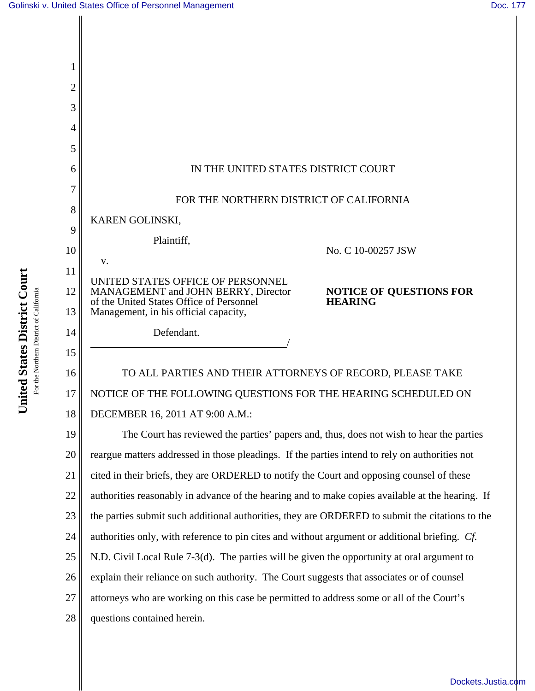

24 authorities only, with reference to pin cites and without argument or additional briefing. *Cf.*

25 N.D. Civil Local Rule 7-3(d). The parties will be given the opportunity at oral argument to

26 explain their reliance on such authority. The Court suggests that associates or of counsel

27 attorneys who are working on this case be permitted to address some or all of the Court's

28 questions contained herein.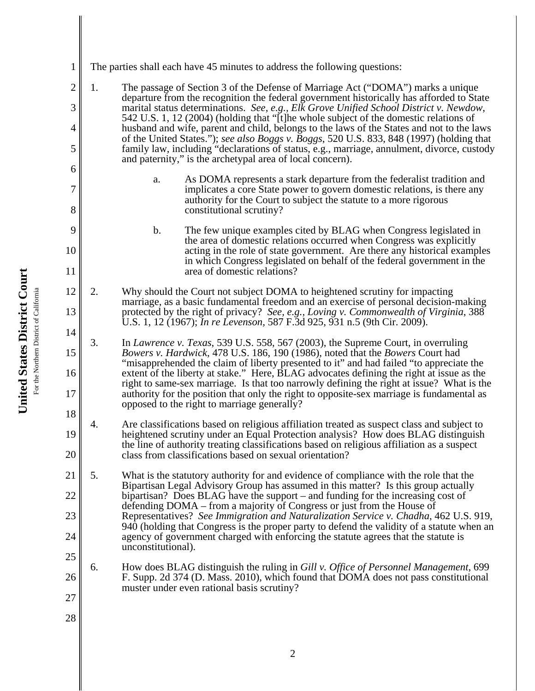| $\mathbf{1}$                          | The parties shall each have 45 minutes to address the following questions:                                                                                                                                                                                                                                                                                                                                                                                                                                                                                                                                                                       |  |  |  |  |
|---------------------------------------|--------------------------------------------------------------------------------------------------------------------------------------------------------------------------------------------------------------------------------------------------------------------------------------------------------------------------------------------------------------------------------------------------------------------------------------------------------------------------------------------------------------------------------------------------------------------------------------------------------------------------------------------------|--|--|--|--|
| $\overline{2}$<br>3<br>$\overline{4}$ | 1.<br>The passage of Section 3 of the Defense of Marriage Act ("DOMA") marks a unique<br>departure from the recognition the federal government historically has afforded to State<br>marital status determinations. See, e.g., Elk Grove Unified School District v. Newdow,<br>542 U.S. 1, 12 (2004) (holding that "[t]he whole subject of the domestic relations of<br>husband and wife, parent and child, belongs to the laws of the States and not to the laws                                                                                                                                                                                |  |  |  |  |
| 5<br>6                                | of the United States."); see also Boggs v. Boggs, 520 U.S. 833, 848 (1997) (holding that<br>family law, including "declarations of status, e.g., marriage, annulment, divorce, custody<br>and paternity," is the archetypal area of local concern).                                                                                                                                                                                                                                                                                                                                                                                              |  |  |  |  |
| $\overline{7}$<br>8                   | As DOMA represents a stark departure from the federalist tradition and<br>a.<br>implicates a core State power to govern domestic relations, is there any<br>authority for the Court to subject the statute to a more rigorous<br>constitutional scrutiny?                                                                                                                                                                                                                                                                                                                                                                                        |  |  |  |  |
| 9<br>10<br>11                         | The few unique examples cited by BLAG when Congress legislated in<br>b.<br>the area of domestic relations occurred when Congress was explicitly<br>acting in the role of state government. Are there any historical examples<br>in which Congress legislated on behalf of the federal government in the<br>area of domestic relations?                                                                                                                                                                                                                                                                                                           |  |  |  |  |
| 12<br>13<br>14                        | 2.<br>Why should the Court not subject DOMA to heightened scrutiny for impacting<br>marriage, as a basic fundamental freedom and an exercise of personal decision-making<br>protected by the right of privacy? See, e.g., Loving v. Commonwealth of Virginia, 388<br>U.S. 1, 12 (1967); <i>In re Levenson</i> , 587 F.3d 925, 931 n.5 (9th Cir. 2009).                                                                                                                                                                                                                                                                                           |  |  |  |  |
| 15<br>16<br>17<br>18                  | 3.<br>In Lawrence v. Texas, 539 U.S. 558, 567 (2003), the Supreme Court, in overruling<br>Bowers v. Hardwick, 478 U.S. 186, 190 (1986), noted that the Bowers Court had<br>"misapprehended the claim of liberty presented to it" and had failed "to appreciate the<br>extent of the liberty at stake." Here, BLAG advocates defining the right at issue as the<br>right to same-sex marriage. Is that too narrowly defining the right at issue? What is the<br>authority for the position that only the right to opposite-sex marriage is fundamental as<br>opposed to the right to marriage generally?                                          |  |  |  |  |
| 19<br>$20\,$                          | Are classifications based on religious affiliation treated as suspect class and subject to<br>4.<br>heightened scrutiny under an Equal Protection analysis? How does BLAG distinguish<br>the line of authority treating classifications based on religious affiliation as a suspect<br>class from classifications based on sexual orientation?                                                                                                                                                                                                                                                                                                   |  |  |  |  |
| 21<br>22<br>23<br>24<br>25            | 5.<br>What is the statutory authority for and evidence of compliance with the role that the<br>Bipartisan Legal Advisory Group has assumed in this matter? Is this group actually<br>bipartisan? Does BLAG have the support – and funding for the increasing cost of<br>defending DOMA – from a majority of Congress or just from the House of<br>Representatives? See Immigration and Naturalization Service v. Chadha, 462 U.S. 919,<br>940 (holding that Congress is the proper party to defend the validity of a statute when an<br>agency of government charged with enforcing the statute agrees that the statute is<br>unconstitutional). |  |  |  |  |
| 26<br>27<br>28                        | 6.<br>How does BLAG distinguish the ruling in Gill v. Office of Personnel Management, 699<br>F. Supp. 2d 374 (D. Mass. 2010), which found that DOMA does not pass constitutional<br>muster under even rational basis scrutiny?                                                                                                                                                                                                                                                                                                                                                                                                                   |  |  |  |  |
|                                       |                                                                                                                                                                                                                                                                                                                                                                                                                                                                                                                                                                                                                                                  |  |  |  |  |